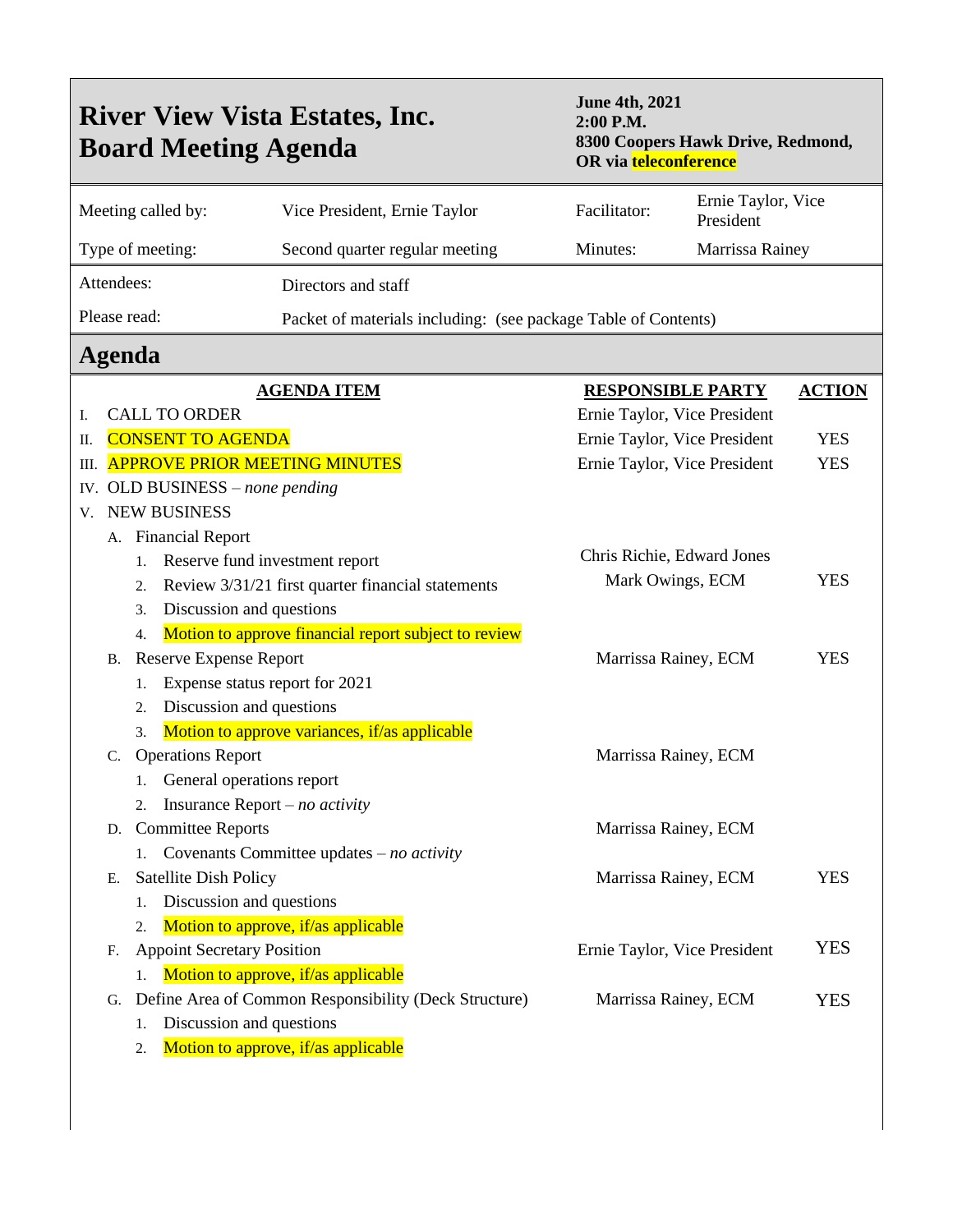| <b>June 4th, 2021</b><br><b>River View Vista Estates, Inc.</b><br>2:00 P.M.<br>8300 Coopers Hawk Drive, Redmond,<br><b>Board Meeting Agenda</b><br>OR via teleconference |                                                                         |                                                                |                              |                                 |            |  |  |  |
|--------------------------------------------------------------------------------------------------------------------------------------------------------------------------|-------------------------------------------------------------------------|----------------------------------------------------------------|------------------------------|---------------------------------|------------|--|--|--|
|                                                                                                                                                                          | Meeting called by:                                                      | Vice President, Ernie Taylor                                   | Facilitator:                 | Ernie Taylor, Vice<br>President |            |  |  |  |
| Type of meeting:                                                                                                                                                         |                                                                         | Second quarter regular meeting                                 | Minutes:                     | Marrissa Rainey                 |            |  |  |  |
| Attendees:                                                                                                                                                               |                                                                         | Directors and staff                                            |                              |                                 |            |  |  |  |
| Please read:                                                                                                                                                             |                                                                         |                                                                |                              |                                 |            |  |  |  |
|                                                                                                                                                                          |                                                                         | Packet of materials including: (see package Table of Contents) |                              |                                 |            |  |  |  |
| Agenda                                                                                                                                                                   |                                                                         |                                                                |                              |                                 |            |  |  |  |
|                                                                                                                                                                          |                                                                         | <b>AGENDA ITEM</b>                                             | <b>RESPONSIBLE PARTY</b>     | <b>ACTION</b>                   |            |  |  |  |
| Ι.                                                                                                                                                                       | <b>CALL TO ORDER</b>                                                    |                                                                | Ernie Taylor, Vice President |                                 |            |  |  |  |
| <b>CONSENT TO AGENDA</b><br>П.                                                                                                                                           |                                                                         |                                                                | Ernie Taylor, Vice President |                                 | <b>YES</b> |  |  |  |
| <b>APPROVE PRIOR MEETING MINUTES</b><br>Ш.                                                                                                                               |                                                                         |                                                                | Ernie Taylor, Vice President |                                 | <b>YES</b> |  |  |  |
| IV. OLD BUSINESS $-$ none pending                                                                                                                                        |                                                                         |                                                                |                              |                                 |            |  |  |  |
| V.                                                                                                                                                                       | <b>NEW BUSINESS</b>                                                     |                                                                |                              |                                 |            |  |  |  |
|                                                                                                                                                                          | A. Financial Report                                                     |                                                                | Chris Richie, Edward Jones   |                                 |            |  |  |  |
| 1.                                                                                                                                                                       |                                                                         | Reserve fund investment report                                 |                              |                                 |            |  |  |  |
| 2.                                                                                                                                                                       |                                                                         | Review 3/31/21 first quarter financial statements              | Mark Owings, ECM             |                                 | <b>YES</b> |  |  |  |
| 3.                                                                                                                                                                       | Discussion and questions                                                |                                                                |                              |                                 |            |  |  |  |
| $\overline{4}$ .                                                                                                                                                         |                                                                         | Motion to approve financial report subject to review           |                              |                                 |            |  |  |  |
| В.                                                                                                                                                                       | <b>Reserve Expense Report</b>                                           |                                                                | Marrissa Rainey, ECM         |                                 | <b>YES</b> |  |  |  |
| 1.                                                                                                                                                                       | Expense status report for 2021                                          |                                                                |                              |                                 |            |  |  |  |
| 2.                                                                                                                                                                       | Discussion and questions                                                |                                                                |                              |                                 |            |  |  |  |
| 3.                                                                                                                                                                       |                                                                         | Motion to approve variances, if/as applicable                  |                              |                                 |            |  |  |  |
| C.                                                                                                                                                                       | <b>Operations Report</b>                                                |                                                                | Marrissa Rainey, ECM         |                                 |            |  |  |  |
| 2.                                                                                                                                                                       | 1. General operations report<br>Insurance Report $- no$ <i>activity</i> |                                                                |                              |                                 |            |  |  |  |
|                                                                                                                                                                          | D. Committee Reports                                                    |                                                                | Marrissa Rainey, ECM         |                                 |            |  |  |  |
|                                                                                                                                                                          | 1.                                                                      | Covenants Committee updates $- no$ <i>activity</i>             |                              |                                 |            |  |  |  |
| Е.                                                                                                                                                                       | <b>Satellite Dish Policy</b>                                            |                                                                | Marrissa Rainey, ECM         |                                 | <b>YES</b> |  |  |  |
| 1.                                                                                                                                                                       | Discussion and questions                                                |                                                                |                              |                                 |            |  |  |  |
| 2.                                                                                                                                                                       |                                                                         | Motion to approve, if/as applicable                            |                              |                                 |            |  |  |  |
| F.                                                                                                                                                                       | <b>Appoint Secretary Position</b>                                       |                                                                | Ernie Taylor, Vice President |                                 | <b>YES</b> |  |  |  |
| 1.                                                                                                                                                                       |                                                                         | Motion to approve, if/as applicable                            |                              |                                 |            |  |  |  |
| G.                                                                                                                                                                       |                                                                         | Define Area of Common Responsibility (Deck Structure)          | Marrissa Rainey, ECM         |                                 | <b>YES</b> |  |  |  |
| 1.                                                                                                                                                                       | Discussion and questions                                                |                                                                |                              |                                 |            |  |  |  |
| 2.                                                                                                                                                                       |                                                                         | Motion to approve, if/as applicable                            |                              |                                 |            |  |  |  |